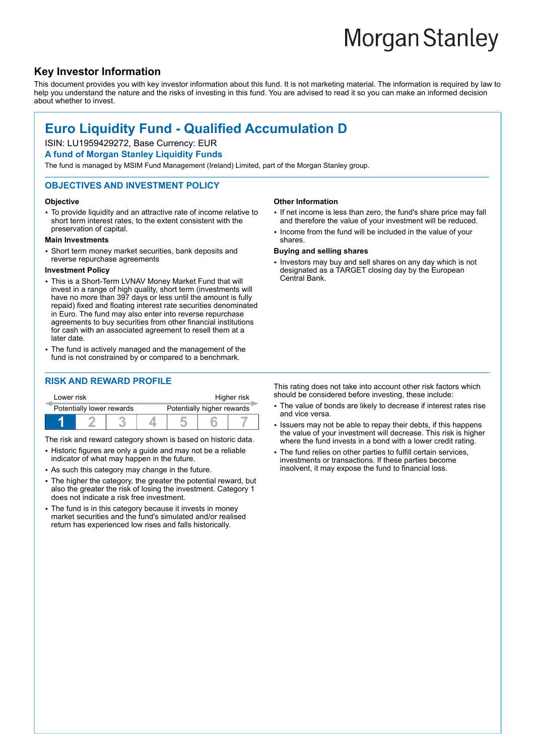# **Morgan Stanley**

# **Key Investor Information**

This document provides you with key investor information about this fund. It is not marketing material. The information is required by law to help you understand the nature and the risks of investing in this fund. You are advised to read it so you can make an informed decision about whether to invest.

# **Euro Liquidity Fund - Qualified Accumulation D**

# ISIN: LU1959429272, Base Currency: EUR

#### **A fund of Morgan Stanley Liquidity Funds**

The fund is managed by MSIM Fund Management (Ireland) Limited, part of the Morgan Stanley group.

#### **OBJECTIVES AND INVESTMENT POLICY**

#### **Objective**

• To provide liquidity and an attractive rate of income relative to short term interest rates, to the extent consistent with the preservation of capital.

#### **Main Investments**

• Short term money market securities, bank deposits and reverse repurchase agreements

#### **Investment Policy**

- This is a Short-Term LVNAV Money Market Fund that will invest in a range of high quality, short term (investments will have no more than 397 days or less until the amount is fully repaid) fixed and floating interest rate securities denominated in Euro. The fund may also enter into reverse repurchase agreements to buy securities from other financial institutions for cash with an associated agreement to resell them at a later date.
- The fund is actively managed and the management of the fund is not constrained by or compared to a benchmark.

## **RISK AND REWARD PROFILE**

| Lower risk                |  |  |  | Higher risk                |  |  |  |
|---------------------------|--|--|--|----------------------------|--|--|--|
| Potentially lower rewards |  |  |  | Potentially higher rewards |  |  |  |
|                           |  |  |  |                            |  |  |  |

The risk and reward category shown is based on historic data.

- Historic figures are only a guide and may not be a reliable indicator of what may happen in the future.
- As such this category may change in the future.
- The higher the category, the greater the potential reward, but also the greater the risk of losing the investment. Category 1 does not indicate a risk free investment.
- The fund is in this category because it invests in money market securities and the fund's simulated and/or realised return has experienced low rises and falls historically.

#### **Other Information**

- If net income is less than zero, the fund's share price may fall and therefore the value of your investment will be reduced.
- Income from the fund will be included in the value of your shares.

#### **Buying and selling shares**

• Investors may buy and sell shares on any day which is not designated as a TARGET closing day by the European Central Bank.

This rating does not take into account other risk factors which should be considered before investing, these include:

- The value of bonds are likely to decrease if interest rates rise and vice versa.
- Issuers may not be able to repay their debts, if this happens the value of your investment will decrease. This risk is higher where the fund invests in a bond with a lower credit rating.
- The fund relies on other parties to fulfill certain services, investments or transactions. If these parties become insolvent, it may expose the fund to financial loss.